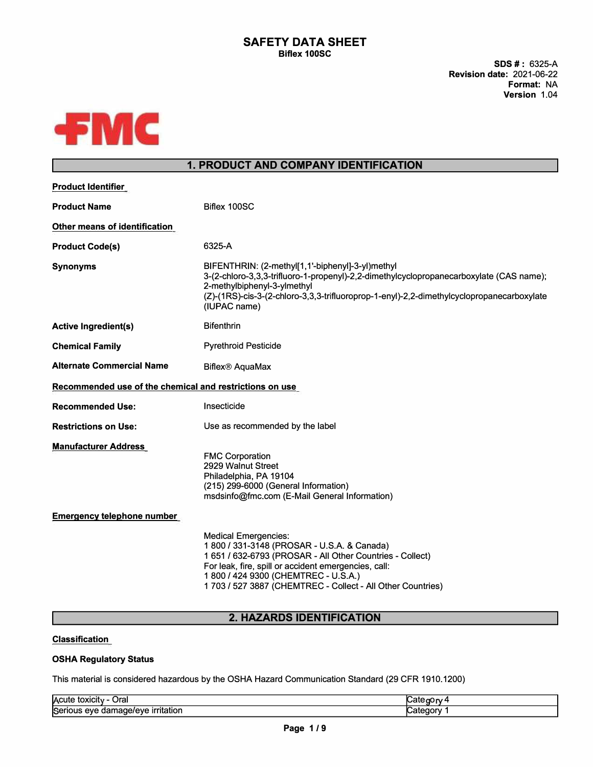**SDS** # : 6325-A **Revision date:** 2021-06-22 **Format:** NA **Version** 1.04



# **1. PRODUCT AND COMPANY IDENTIFICATION**

| Product Identifier                                      |                                                                                                                                                                                                                                                                                                      |
|---------------------------------------------------------|------------------------------------------------------------------------------------------------------------------------------------------------------------------------------------------------------------------------------------------------------------------------------------------------------|
| <b>Product Name</b>                                     | Biflex 100SC                                                                                                                                                                                                                                                                                         |
| Other means of identification                           |                                                                                                                                                                                                                                                                                                      |
| <b>Product Code(s)</b>                                  | 6325-A                                                                                                                                                                                                                                                                                               |
| <b>Synonyms</b>                                         | BIFENTHRIN: (2-methyl[1,1'-biphenyl]-3-yl)methyl<br>3-(2-chloro-3,3,3-trifluoro-1-propenyl)-2,2-dimethylcyclopropanecarboxylate (CAS name);<br>2-methylbiphenyl-3-ylmethyl<br>(Z)-(1RS)-cis-3-(2-chloro-3,3,3-trifluoroprop-1-enyl)-2,2-dimethylcyclopropanecarboxylate<br>(IUPAC name)              |
| <b>Active Ingredient(s)</b>                             | <b>Bifenthrin</b>                                                                                                                                                                                                                                                                                    |
| <b>Chemical Family</b>                                  | <b>Pyrethroid Pesticide</b>                                                                                                                                                                                                                                                                          |
| <b>Alternate Commercial Name</b>                        | <b>Biflex® AquaMax</b>                                                                                                                                                                                                                                                                               |
| Recommended use of the chemical and restrictions on use |                                                                                                                                                                                                                                                                                                      |
| <b>Recommended Use:</b>                                 | Insecticide                                                                                                                                                                                                                                                                                          |
| <b>Restrictions on Use:</b>                             | Use as recommended by the label                                                                                                                                                                                                                                                                      |
| <b>Manufacturer Address</b>                             | <b>FMC Corporation</b><br>2929 Walnut Street<br>Philadelphia, PA 19104<br>(215) 299-6000 (General Information)<br>msdsinfo@fmc.com (E-Mail General Information)                                                                                                                                      |
| <b>Emergency telephone number</b>                       |                                                                                                                                                                                                                                                                                                      |
|                                                         | <b>Medical Emergencies:</b><br>1800 / 331-3148 (PROSAR - U.S.A. & Canada)<br>1 651 / 632-6793 (PROSAR - All Other Countries - Collect)<br>For leak, fire, spill or accident emergencies, call:<br>1 800 / 424 9300 (CHEMTREC - U.S.A.)<br>1703 / 527 3887 (CHEMTREC - Collect - All Other Countries) |

## **2. HAZARDS IDENTIFICATION**

## **Classification**

## **OSHA Regulatory Status**

This material is considered hazardous by the OSHA Hazard Communication Standard (29 CFR 1910.1200)

| Acute<br><br>Oral<br>-------<br>τοχιςπν |  |
|-----------------------------------------|--|
| Ser<br>. .<br>eve<br>irritatioi<br>аа   |  |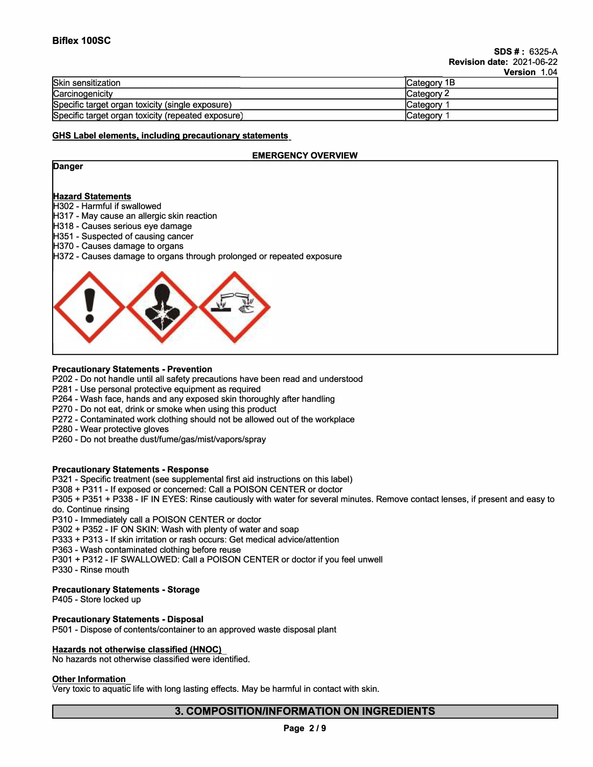|                                                    | VEISIUIL<br><b>1.V4</b> |
|----------------------------------------------------|-------------------------|
| Skin sensitization                                 | <b>ICategory 1B</b>     |
| Carcinogenicity                                    | <b>ICategory 2</b>      |
| Specific target organ toxicity (single exposure)   | <b>ICategory</b>        |
| Specific target organ toxicity (repeated exposure) | Category                |

## **GHS Label elements, including precautionary statements**

## **EMERGENCY OVERVIEW**

| Danger                                                                |
|-----------------------------------------------------------------------|
|                                                                       |
| <b>Hazard Statements</b>                                              |
| <b>H302 - Harmful if swallowed</b>                                    |
| H317 - May cause an allergic skin reaction                            |
| H318 - Causes serious eye damage                                      |
| H351 - Suspected of causing cancer                                    |
| H370 - Causes damage to organs                                        |
| H372 - Causes damage to organs through prolonged or repeated exposure |
|                                                                       |

## **Precautionary Statements - Prevention**

P202 - Do not handle until all safety precautions have been read and understood

P281 - Use personal protective equipment as required

P264 - Wash face, hands and any exposed skin thoroughly after handling

P270 - Do not eat, drink or smoke when using this product

P272 - Contaminated work clothing should not be allowed out of the workplace

P280 - Wear protective gloves

P260 - Do not breathe dust/fume/gas/mist/vapors/spray

## **Precautionary Statements - Response**

P321 - Specific treatment (see supplemental first aid instructions on this label)

P308 **+** P311 - If exposed or concerned: Call a POISON CENTER or doctor

P305 **+** P351 **+** P338 - IF IN EYES: Rinse cautiously with water for several minutes. Remove contact lenses, if present and easy to do. Continue rinsing

P310 - Immediately call a POISON CENTER or doctor

P302 **+** P352 - IF ON SKIN: Wash with plenty of water and soap

P333 **+** P313 - If skin irritation or rash occurs: Get medical advice/attention

P363 - Wash contaminated clothing before reuse

P301 + P312 - IF SWALLOWED: Call a POISON CENTER or doctor if you feel unwell

P330 - Rinse mouth

## **Precautionary Statements - Storage**

P405 - Store locked up

## **Precautionary Statements - Disposal**

P501 - Dispose of contents/container to an approved waste disposal plant

## **Hazards not otherwise classified (HNOC)**

No hazards not otherwise classified were identified.

## **Other Information**

Very toxic to aquatic life with long lasting effects. May be harmful in contact with skin.

## **3. COMPOSITION/INFORMATION ON INGREDIENTS**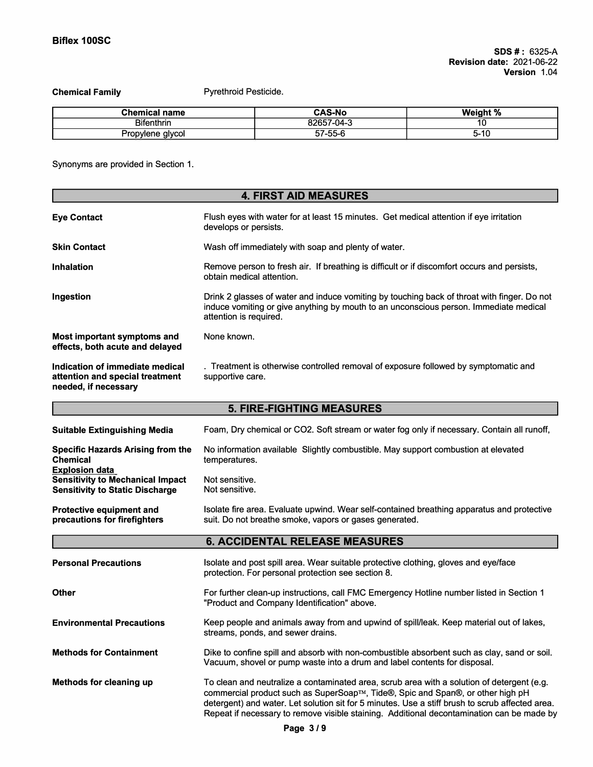**Chemical Family** 

Pyrethroid Pesticide.

| <b>Chemical name</b>     | <b>CAS-No</b>     | . L 1 N<br>Weig.<br>70 |
|--------------------------|-------------------|------------------------|
| <b>Bifenthrin</b>        | 82657-<br>57-04-3 |                        |
| alvcol<br>Pror<br>pvlene | $57-55-f$         | $5 - 10$               |

Synonyms are provided in Section 1.

| <b>4. FIRST AID MEASURES</b>                                                                               |                                                                                                                                                                                                                                                                                                                                                                              |  |
|------------------------------------------------------------------------------------------------------------|------------------------------------------------------------------------------------------------------------------------------------------------------------------------------------------------------------------------------------------------------------------------------------------------------------------------------------------------------------------------------|--|
| <b>Eye Contact</b>                                                                                         | Flush eyes with water for at least 15 minutes. Get medical attention if eye irritation<br>develops or persists.                                                                                                                                                                                                                                                              |  |
| <b>Skin Contact</b>                                                                                        | Wash off immediately with soap and plenty of water.                                                                                                                                                                                                                                                                                                                          |  |
| <b>Inhalation</b>                                                                                          | Remove person to fresh air. If breathing is difficult or if discomfort occurs and persists,<br>obtain medical attention.                                                                                                                                                                                                                                                     |  |
| Ingestion                                                                                                  | Drink 2 glasses of water and induce vomiting by touching back of throat with finger. Do not<br>induce vomiting or give anything by mouth to an unconscious person. Immediate medical<br>attention is required.                                                                                                                                                               |  |
| <b>Most important symptoms and</b><br>effects, both acute and delayed                                      | None known.                                                                                                                                                                                                                                                                                                                                                                  |  |
| Indication of immediate medical<br>attention and special treatment<br>needed, if necessary                 | . Treatment is otherwise controlled removal of exposure followed by symptomatic and<br>supportive care.                                                                                                                                                                                                                                                                      |  |
|                                                                                                            | <b>5. FIRE-FIGHTING MEASURES</b>                                                                                                                                                                                                                                                                                                                                             |  |
| <b>Suitable Extinguishing Media</b>                                                                        | Foam, Dry chemical or CO2. Soft stream or water fog only if necessary. Contain all runoff,                                                                                                                                                                                                                                                                                   |  |
| <b>Specific Hazards Arising from the</b><br><b>Chemical</b>                                                | No information available Slightly combustible. May support combustion at elevated<br>temperatures.                                                                                                                                                                                                                                                                           |  |
| <b>Explosion data</b><br><b>Sensitivity to Mechanical Impact</b><br><b>Sensitivity to Static Discharge</b> | Not sensitive.<br>Not sensitive.                                                                                                                                                                                                                                                                                                                                             |  |
| <b>Protective equipment and</b><br>precautions for firefighters                                            | Isolate fire area. Evaluate upwind. Wear self-contained breathing apparatus and protective<br>suit. Do not breathe smoke, vapors or gases generated.                                                                                                                                                                                                                         |  |
|                                                                                                            | <b>6. ACCIDENTAL RELEASE MEASURES</b>                                                                                                                                                                                                                                                                                                                                        |  |
| <b>Personal Precautions</b>                                                                                | Isolate and post spill area. Wear suitable protective clothing, gloves and eye/face<br>protection. For personal protection see section 8.                                                                                                                                                                                                                                    |  |
| <b>Other</b>                                                                                               | For further clean-up instructions, call FMC Emergency Hotline number listed in Section 1<br>"Product and Company Identification" above.                                                                                                                                                                                                                                      |  |
| <b>Environmental Precautions</b>                                                                           | Keep people and animals away from and upwind of spill/leak. Keep material out of lakes,<br>streams, ponds, and sewer drains.                                                                                                                                                                                                                                                 |  |
| <b>Methods for Containment</b>                                                                             | Dike to confine spill and absorb with non-combustible absorbent such as clay, sand or soil.<br>Vacuum, shovel or pump waste into a drum and label contents for disposal.                                                                                                                                                                                                     |  |
| Methods for cleaning up                                                                                    | To clean and neutralize a contaminated area, scrub area with a solution of detergent (e.g.<br>commercial product such as SuperSoap™, Tide®, Spic and Span®, or other high pH<br>detergent) and water. Let solution sit for 5 minutes. Use a stiff brush to scrub affected area.<br>Repeat if necessary to remove visible staining. Additional decontamination can be made by |  |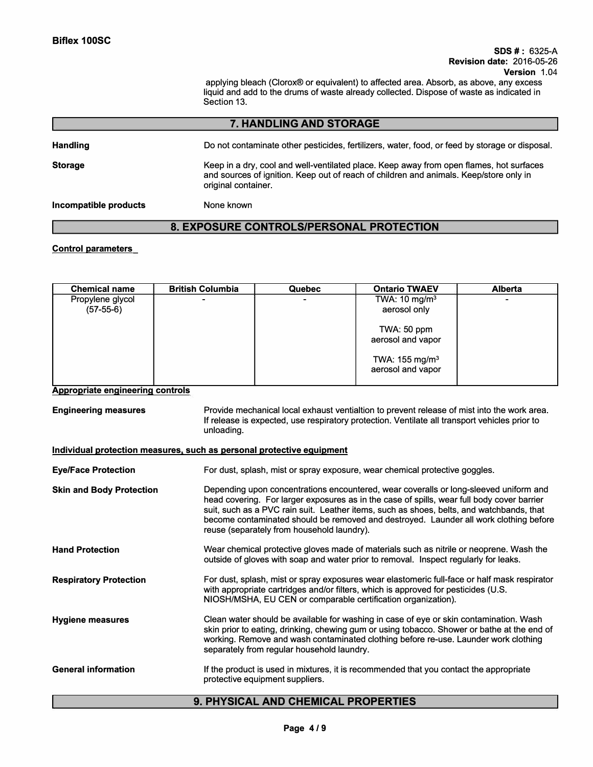#### **SDS** # : 6325-A **Revision date:** 2016-05-26 **Version** 1.04

applying bleach (Clorox® or equivalent) to affected area. Absorb, as above, any excess liquid and add to the drums of waste already collected. Dispose of waste as indicated in Section 13.

## **7. HANDLING AND STORAGE**

**Handling Storage**  Do not contaminate other pesticides, fertilizers, water, food, or feed by storage or disposal. Keep in a dry, cool and well-ventilated place. Keep away from open flames, hot surfaces and sources of ignition. Keep out of reach of children and animals. Keep/store only in original container.

#### **Incompatible products**

## **8. EXPOSURE CONTROLS/PERSONAL PROTECTION**

## **Control parameters**

| <b>Chemical name</b> | <b>British Columbia</b> | <b>Quebec</b> | <b>Ontario TWAEV</b>       | <b>Alberta</b> |
|----------------------|-------------------------|---------------|----------------------------|----------------|
| Propylene glycol     |                         | -             | TWA: 10 mg/m <sup>3</sup>  |                |
| $(57-55-6)$          |                         |               | aerosol only               |                |
|                      |                         |               | TWA: 50 ppm                |                |
|                      |                         |               | aerosol and vapor          |                |
|                      |                         |               | TWA: 155 mg/m <sup>3</sup> |                |
|                      |                         |               | aerosol and vapor          |                |

#### **Appropriate engineering controls**

**Engineering measures**  Provide mechanical local exhaust ventialtion to prevent release of mist into the work area. If release is expected, use respiratory protection. Ventilate all transport vehicles prior to unloading.

## **Individual protection measures, such as personal protective equipment**

None known

| <b>Eye/Face Protection</b>      | For dust, splash, mist or spray exposure, wear chemical protective goggles.                                                                                                                                                                                                                                                                                                                                            |
|---------------------------------|------------------------------------------------------------------------------------------------------------------------------------------------------------------------------------------------------------------------------------------------------------------------------------------------------------------------------------------------------------------------------------------------------------------------|
| <b>Skin and Body Protection</b> | Depending upon concentrations encountered, wear coveralls or long-sleeved uniform and<br>head covering. For larger exposures as in the case of spills, wear full body cover barrier<br>suit, such as a PVC rain suit. Leather items, such as shoes, belts, and watchbands, that<br>become contaminated should be removed and destroyed. Launder all work clothing before<br>reuse (separately from household laundry). |
| <b>Hand Protection</b>          | Wear chemical protective gloves made of materials such as nitrile or neoprene. Wash the<br>outside of gloves with soap and water prior to removal. Inspect regularly for leaks.                                                                                                                                                                                                                                        |
| <b>Respiratory Protection</b>   | For dust, splash, mist or spray exposures wear elastomeric full-face or half mask respirator<br>with appropriate cartridges and/or filters, which is approved for pesticides (U.S.<br>NIOSH/MSHA, EU CEN or comparable certification organization).                                                                                                                                                                    |
| <b>Hygiene measures</b>         | Clean water should be available for washing in case of eye or skin contamination. Wash<br>skin prior to eating, drinking, chewing gum or using tobacco. Shower or bathe at the end of<br>working. Remove and wash contaminated clothing before re-use. Launder work clothing<br>separately from regular household laundry.                                                                                             |
| <b>General information</b>      | If the product is used in mixtures, it is recommended that you contact the appropriate<br>protective equipment suppliers.                                                                                                                                                                                                                                                                                              |

## **9. PHYSICAL AND CHEMICAL PROPERTIES**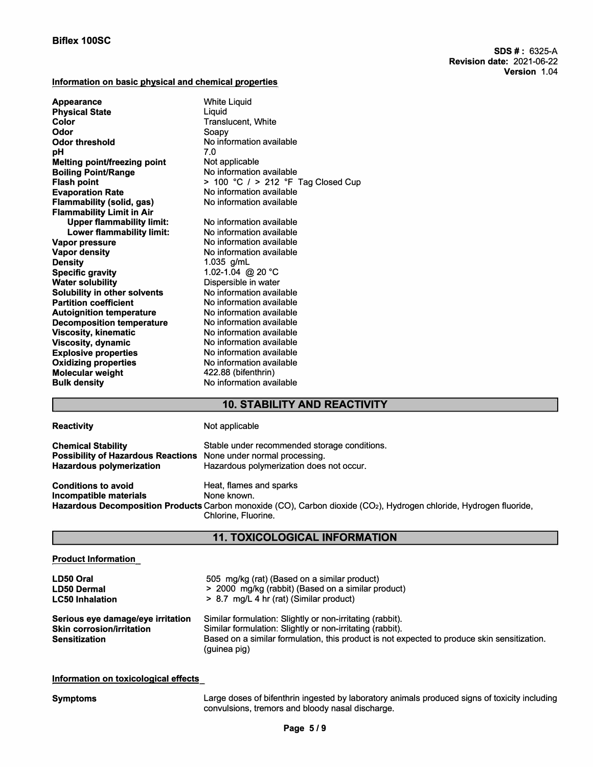## **Information on basic physical and chemical properties**

| <b>Appearance</b>                   | <b>White Liquid</b>                |
|-------------------------------------|------------------------------------|
| <b>Physical State</b>               | Liquid                             |
| Color                               | <b>Translucent, White</b>          |
| Odor                                | Soapy                              |
| <b>Odor threshold</b>               | No information available           |
| рH                                  | 7.0                                |
| <b>Melting point/freezing point</b> | Not applicable                     |
| <b>Boiling Point/Range</b>          | No information available           |
| <b>Flash point</b>                  | > 100 °C / > 212 °F Tag Closed Cup |
| <b>Evaporation Rate</b>             | No information available           |
| <b>Flammability (solid, gas)</b>    | No information available           |
| <b>Flammability Limit in Air</b>    |                                    |
| <b>Upper flammability limit:</b>    | No information available           |
| <b>Lower flammability limit:</b>    | No information available           |
| Vapor pressure                      | No information available           |
| <b>Vapor density</b>                | No information available           |
| <b>Density</b>                      | 1.035 $g/mL$                       |
| <b>Specific gravity</b>             | 1.02-1.04 @ 20 °C                  |
| <b>Water solubility</b>             | Dispersible in water               |
| Solubility in other solvents        | No information available           |
| <b>Partition coefficient</b>        | No information available           |
| <b>Autoignition temperature</b>     | No information available           |
| <b>Decomposition temperature</b>    | No information available           |
| <b>Viscosity, kinematic</b>         | No information available           |
| <b>Viscosity, dynamic</b>           | No information available           |
| <b>Explosive properties</b>         | No information available           |
| <b>Oxidizing properties</b>         | No information available           |
| <b>Molecular weight</b>             | 422.88 (bifenthrin)                |
| <b>Bulk density</b>                 | No information available           |
|                                     |                                    |

# **10. STABILITY AND REACTIVITY**

| <b>Reactivity</b>                                                                                                                       | Not applicable                                                                                                                                                                                   |
|-----------------------------------------------------------------------------------------------------------------------------------------|--------------------------------------------------------------------------------------------------------------------------------------------------------------------------------------------------|
| <b>Chemical Stability</b><br><b>Possibility of Hazardous Reactions</b> None under normal processing.<br><b>Hazardous polymerization</b> | Stable under recommended storage conditions.<br>Hazardous polymerization does not occur.                                                                                                         |
| <b>Conditions to avoid</b><br>Incompatible materials                                                                                    | Heat, flames and sparks<br>None known.<br>Hazardous Decomposition Products Carbon monoxide (CO), Carbon dioxide (CO <sub>2</sub> ), Hydrogen chloride, Hydrogen fluoride,<br>Chlorine, Fluorine, |

# **11. TOXICOLOGICAL INFORMATION**

## **Product Information**

| LD50 Oral                                                                                     | 505 mg/kg (rat) (Based on a similar product)                                                                                                                                                                                          |
|-----------------------------------------------------------------------------------------------|---------------------------------------------------------------------------------------------------------------------------------------------------------------------------------------------------------------------------------------|
| <b>LD50 Dermal</b>                                                                            | > 2000 mg/kg (rabbit) (Based on a similar product)                                                                                                                                                                                    |
| <b>LC50 Inhalation</b>                                                                        | > 8.7 mg/L 4 hr (rat) (Similar product)                                                                                                                                                                                               |
| Serious eye damage/eye irritation<br><b>Skin corrosion/irritation</b><br><b>Sensitization</b> | Similar formulation: Slightly or non-irritating (rabbit).<br>Similar formulation: Slightly or non-irritating (rabbit).<br>Based on a similar formulation, this product is not expected to produce skin sensitization.<br>(guinea pig) |

## **Information on toxicological effects**

**Symptoms** 

Large doses of bifenthrin ingested by laboratory animals produced signs of toxicity including convulsions, tremors and bloody nasal discharge.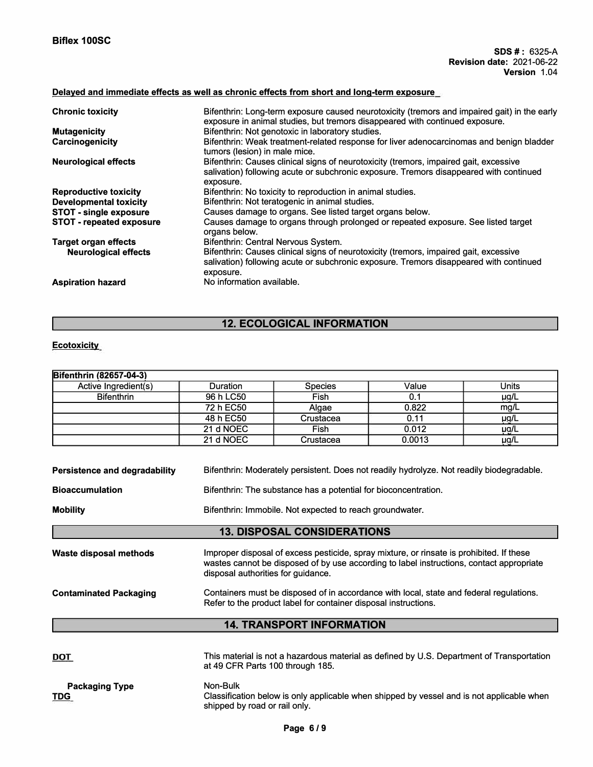# **Delayed and immediate effects as well as chronic effects from short and long-term exposure**

| <b>Chronic toxicity</b>         | Bifenthrin: Long-term exposure caused neurotoxicity (tremors and impaired gait) in the early<br>exposure in animal studies, but tremors disappeared with continued exposure.                 |
|---------------------------------|----------------------------------------------------------------------------------------------------------------------------------------------------------------------------------------------|
| <b>Mutagenicity</b>             | Bifenthrin: Not genotoxic in laboratory studies.                                                                                                                                             |
| <b>Carcinogenicity</b>          | Bifenthrin: Weak treatment-related response for liver adenocarcinomas and benign bladder<br>tumors (lesion) in male mice.                                                                    |
| <b>Neurological effects</b>     | Bifenthrin: Causes clinical signs of neurotoxicity (tremors, impaired gait, excessive<br>salivation) following acute or subchronic exposure. Tremors disappeared with continued<br>exposure. |
| <b>Reproductive toxicity</b>    | Bifenthrin: No toxicity to reproduction in animal studies.                                                                                                                                   |
| <b>Developmental toxicity</b>   | Bifenthrin: Not teratogenic in animal studies.                                                                                                                                               |
| <b>STOT - single exposure</b>   | Causes damage to organs. See listed target organs below.                                                                                                                                     |
| <b>STOT - repeated exposure</b> | Causes damage to organs through prolonged or repeated exposure. See listed target<br>organs below.                                                                                           |
| <b>Target organ effects</b>     | Bifenthrin: Central Nervous System.                                                                                                                                                          |
| <b>Neurological effects</b>     | Bifenthrin: Causes clinical signs of neurotoxicity (tremors, impaired gait, excessive<br>salivation) following acute or subchronic exposure. Tremors disappeared with continued<br>exposure. |
| <b>Aspiration hazard</b>        | No information available.                                                                                                                                                                    |

# **12. ECOLOGICAL INFORMATION**

## **Ecotoxicity**

| Bifenthrin (82657-04-3) |                 |                |        |           |
|-------------------------|-----------------|----------------|--------|-----------|
| Active Ingredient(s)    | <b>Duration</b> | <b>Species</b> | Value  | Units     |
| <b>Bifenthrin</b>       | 96 h LC50       | Fish           | 0.1    | µg/L      |
|                         | 72 h EC50       | Algae          | 0.822  | mg/L      |
|                         | 48 h EC50       | Crustacea      | 0.11   | $\mu$ g/L |
|                         | 21 d NOEC       | <b>Fish</b>    | 0.012  | µg/L      |
|                         | 21 d NOEC       | Crustacea      | 0.0013 | µg/L      |

| Bifenthrin: Moderately persistent. Does not readily hydrolyze. Not readily biodegradable.<br><b>Persistence and degradability</b> |                                                                                                                                                                                                                            |  |  |  |
|-----------------------------------------------------------------------------------------------------------------------------------|----------------------------------------------------------------------------------------------------------------------------------------------------------------------------------------------------------------------------|--|--|--|
| <b>Bioaccumulation</b>                                                                                                            | Bifenthrin: The substance has a potential for bioconcentration.                                                                                                                                                            |  |  |  |
| <b>Mobility</b>                                                                                                                   | Bifenthrin: Immobile. Not expected to reach groundwater.                                                                                                                                                                   |  |  |  |
|                                                                                                                                   | <b>13. DISPOSAL CONSIDERATIONS</b>                                                                                                                                                                                         |  |  |  |
| Waste disposal methods                                                                                                            | Improper disposal of excess pesticide, spray mixture, or rinsate is prohibited. If these<br>wastes cannot be disposed of by use according to label instructions, contact appropriate<br>disposal authorities for guidance. |  |  |  |
| <b>Contaminated Packaging</b>                                                                                                     | Containers must be disposed of in accordance with local, state and federal regulations.<br>Refer to the product label for container disposal instructions.                                                                 |  |  |  |
|                                                                                                                                   | <b>14. TRANSPORT INFORMATION</b>                                                                                                                                                                                           |  |  |  |

| <u>DOT</u>                          | This material is not a hazardous material as defined by U.S. Department of Transportation<br>at 49 CFR Parts 100 through 185.          |
|-------------------------------------|----------------------------------------------------------------------------------------------------------------------------------------|
| <b>Packaging Type</b><br><u>TDG</u> | Non-Bulk<br>Classification below is only applicable when shipped by vessel and is not applicable when<br>shipped by road or rail only. |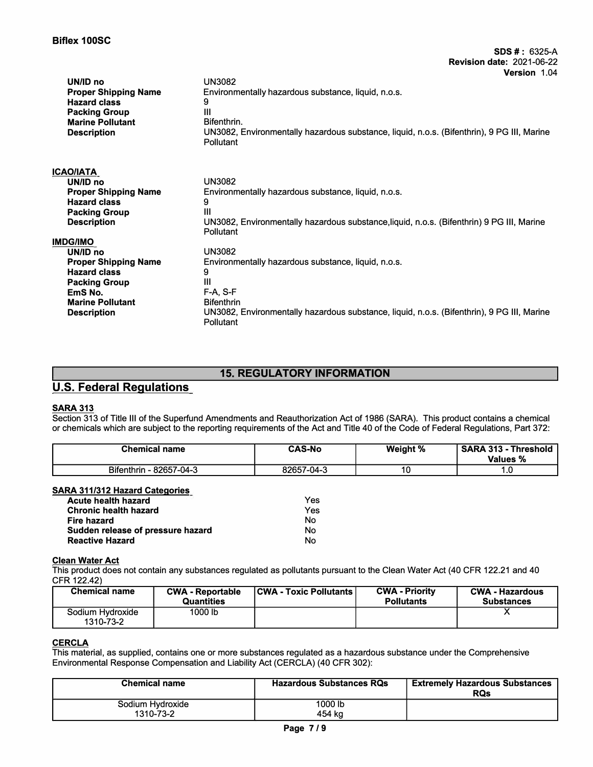| UN/ID no<br><b>Proper Shipping Name</b><br><b>Hazard class</b><br><b>Packing Group</b><br><b>Marine Pollutant</b><br><b>Description</b> | <b>UN3082</b><br>Environmentally hazardous substance, liquid, n.o.s.<br>9<br>Ш<br>Bifenthrin.<br>UN3082, Environmentally hazardous substance, liquid, n.o.s. (Bifenthrin), 9 PG III, Marine<br>Pollutant |
|-----------------------------------------------------------------------------------------------------------------------------------------|----------------------------------------------------------------------------------------------------------------------------------------------------------------------------------------------------------|
| ICAO/IATA.                                                                                                                              | <b>UN3082</b>                                                                                                                                                                                            |
| UN/ID no                                                                                                                                | Environmentally hazardous substance, liquid, n.o.s.                                                                                                                                                      |
| <b>Proper Shipping Name</b>                                                                                                             | 9                                                                                                                                                                                                        |
| <b>Hazard class</b>                                                                                                                     | Ш                                                                                                                                                                                                        |
| <b>Packing Group</b>                                                                                                                    | UN3082, Environmentally hazardous substance, liquid, n.o.s. (Bifenthrin) 9 PG III, Marine                                                                                                                |
| <b>Description</b>                                                                                                                      | <b>Pollutant</b>                                                                                                                                                                                         |
| IMDG/IMO                                                                                                                                | <b>UN3082</b>                                                                                                                                                                                            |
| UN/ID no                                                                                                                                | Environmentally hazardous substance, liquid, n.o.s.                                                                                                                                                      |
| <b>Proper Shipping Name</b>                                                                                                             | 9                                                                                                                                                                                                        |
| <b>Hazard class</b>                                                                                                                     | Ш                                                                                                                                                                                                        |
| <b>Packing Group</b>                                                                                                                    | $F-A. S-F$                                                                                                                                                                                               |
| EmS No.                                                                                                                                 | <b>Bifenthrin</b>                                                                                                                                                                                        |
| <b>Marine Pollutant</b>                                                                                                                 | UN3082, Environmentally hazardous substance, liquid, n.o.s. (Bifenthrin), 9 PG III, Marine                                                                                                               |
| <b>Description</b>                                                                                                                      | Pollutant                                                                                                                                                                                                |

# **15. REGULATORY INFORMATION**

# **U.S. Federal Regulations**

## **SARA 313**

Section 313 of Title Ill of the Superfund Amendments and Reauthorization Act of 1986 (SARA). This product contains a chemical or chemicals which are subject to the reporting requirements of the Act and Title 40 of the Code of Federal Regulations, Part 372:

| <b>Chemical name</b>    | <b>CAS-No</b> | Weight % | <b>SARA 313 - Threshold</b><br>Values % |
|-------------------------|---------------|----------|-----------------------------------------|
| Bifenthrin - 82657-04-3 | 82657-04-3    | 10       | ں.                                      |

## **SARA 311/312 Hazard Categories**

| Acute health hazard               | Yes |
|-----------------------------------|-----|
| Chronic health hazard             | Yes |
| Fire hazard                       | N٥  |
| Sudden release of pressure hazard | No  |
| <b>Reactive Hazard</b>            | N٥  |

## **Clean Water Act**

This product does not contain any substances regulated as pollutants pursuant to the Clean Water Act (40 CFR 122.21 and 40 CFR 122.42)

| <b>Chemical name</b>          | <b>CWA - Reportable</b><br><b>Quantities</b> | <b>CWA - Toxic Pollutants</b> | <b>CWA - Priority</b><br><b>Pollutants</b> | <b>CWA - Hazardous</b><br><b>Substances</b> |
|-------------------------------|----------------------------------------------|-------------------------------|--------------------------------------------|---------------------------------------------|
| Sodium Hydroxide<br>1310-73-2 | 1000 lb                                      |                               |                                            |                                             |

## **CERCLA**

This material, as supplied, contains one or more substances regulated as a hazardous substance under the Comprehensive Environmental Response Compensation and Liability Act (CERCLA) (40 CFR 302):

| <b>Chemical name</b>          | <b>Hazardous Substances RQs</b> | <b>Extremely Hazardous Substances</b><br><b>RQs</b> |
|-------------------------------|---------------------------------|-----------------------------------------------------|
| Sodium Hydroxide<br>1310-73-2 | 1000 lb<br>454 ka               |                                                     |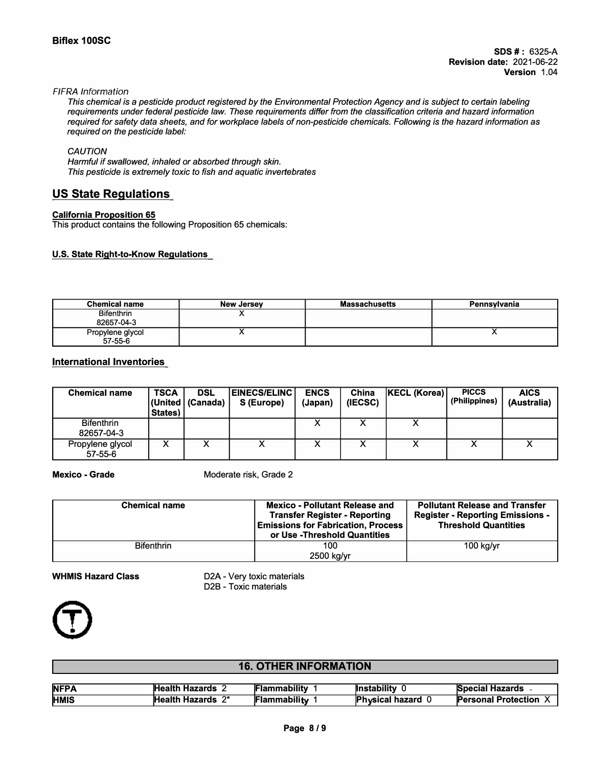#### *FIFRA Information*

*This chemical is* a *pesticide product registered by the Environmental Protection Agency and is subject to certain labeling requirements under federal pesticide law. These requirements differ from the classification criteria and hazard information required for safety data sheets, and for workplace labels of non-pesticide chemicals. Following is the hazard information as required on the pesticide label:* 

## *CAUTION*

*Harmful if swallowed, inhaled or absorbed through skin. This pesticide is extremely toxic to fish and aquatic invertebrates* 

## **US State Regulations**

## **California Proposition 65**

This product contains the following Proposition 65 chemicals:

## **U.S. State Right-to-Know Regulations**

| <b>Chemical name</b>            | New Jersey | Massachusetts | <b>Pennsylvania</b> |
|---------------------------------|------------|---------------|---------------------|
| <b>Bifenthrin</b><br>82657-04-3 |            |               |                     |
| Propylene glycol<br>$57-55-6$   |            |               |                     |

## **International Inventories**

| <b>Chemical name</b>            | <b>TSCA</b><br>States) | <b>DSL</b><br>(United   (Canada) | <b>EINECS/ELINC  </b><br>S (Europe) | <b>ENCS</b><br>(Japan) | China<br>(IECSC) | KECL (Korea) | <b>PICCS</b><br>(Philippines) | <b>AICS</b><br>(Australia) |
|---------------------------------|------------------------|----------------------------------|-------------------------------------|------------------------|------------------|--------------|-------------------------------|----------------------------|
| <b>Bifenthrin</b><br>82657-04-3 |                        |                                  |                                     |                        |                  |              |                               |                            |
| Propylene glycol<br>57-55-6     |                        |                                  |                                     |                        |                  |              |                               |                            |

## **Mexico - Grade**

Moderate risk, Grade 2

| <b>Chemical name</b> | <b>Mexico - Pollutant Release and</b><br><b>Transfer Register - Reporting</b><br><b>Emissions for Fabrication, Process</b><br>or Use - Threshold Quantities | <b>Pollutant Release and Transfer</b><br><b>Register - Reporting Emissions -</b><br><b>Threshold Quantities</b> |  |
|----------------------|-------------------------------------------------------------------------------------------------------------------------------------------------------------|-----------------------------------------------------------------------------------------------------------------|--|
| <b>Bifenthrin</b>    | 100<br>2500 kg/yr                                                                                                                                           | $100$ kg/yr                                                                                                     |  |

## **WHMIS Hazard Class**

D2A - Very toxic materials D2B - Toxic materials



## **16. OTHER INFORMATION**

| <b>NFPA</b> | Health Hazards        | <b> Flammabilitv</b> | <b>Instability</b>     | <b>Special Hazards -</b>    |
|-------------|-----------------------|----------------------|------------------------|-----------------------------|
| <b>HMIS</b> | ົດ∗<br>Health Hazards | <b>Flammability</b>  | <b>Physical hazard</b> | <b>IPersonal Protection</b> |